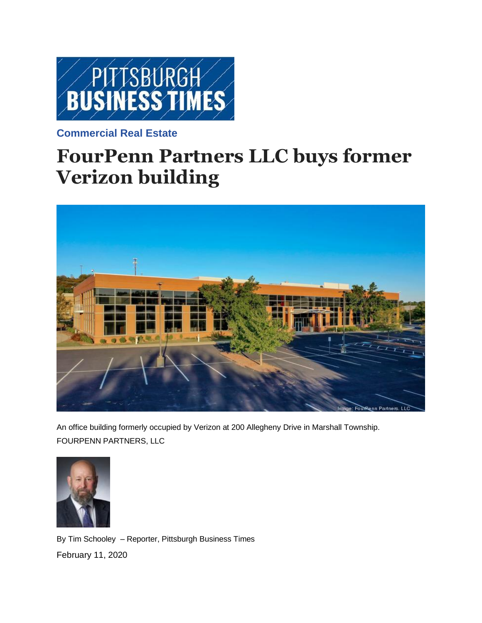

## **[Commercial Real Estate](https://www.bizjournals.com/pittsburgh/news/commercial-real-estate/)**

## **FourPenn Partners LLC buys former Verizon building**



An office building formerly occupied by Verizon at 200 Allegheny Drive in Marshall Township. FOURPENN PARTNERS, LL[C](https://www.bizjournals.com/pittsburgh/bio/5631/Tim+Schooley)



By Tim [Schooley](https://www.bizjournals.com/pittsburgh/bio/5631/Tim+Schooley) – Reporter, Pittsburgh Business Times February 11, 2020